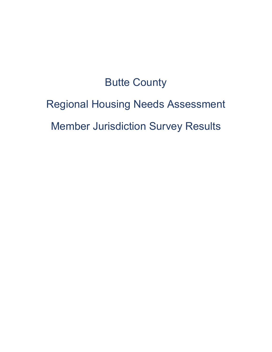# Butte County

# Regional Housing Needs Assessment

Member Jurisdiction Survey Results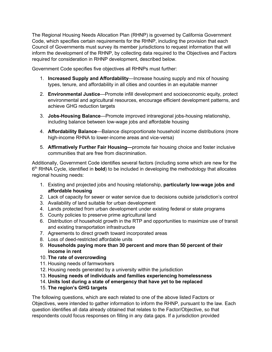The Regional Housing Needs Allocation Plan (RHNP) is governed by California Government Code, which specifies certain requirements for the RHNP, including the provision that each Council of Governments must survey its member jurisdictions to request information that will inform the development of the RHNP, by collecting data required to the Objectives and Factors required for consideration in RHNP development, described below.

Government Code specifies five objectives all RHNPs must further:

- 1. **Increased Supply and Affordability**—Increase housing supply and mix of housing types, tenure, and affordability in all cities and counties in an equitable manner
- 2. **Environmental Justice**—Promote infill development and socioeconomic equity, protect environmental and agricultural resources, encourage efficient development patterns, and achieve GHG reduction targets
- 3. **Jobs-Housing Balance**—Promote improved intraregional jobs-housing relationship, including balance between low-wage jobs and affordable housing
- 4. **Affordability Balance**—Balance disproportionate household income distributions (more high-income RHNA to lower-income areas and vice-versa)
- 5. **Affirmatively Further Fair Housing—**promote fair housing choice and foster inclusive communities that are free from discrimination.

Additionally, Government Code identifies several factors (including some which are new for the 6th RHNA Cycle, identified in **bold**) to be included in developing the methodology that allocates regional housing needs:

- 1. Existing and projected jobs and housing relationship, **particularly low-wage jobs and affordable housing**
- 2. Lack of capacity for sewer or water service due to decisions outside jurisdiction's control
- 3. Availability of land suitable for urban development
- 4. Lands protected from urban development under existing federal or state programs
- 5. County policies to preserve prime agricultural land
- 6. Distribution of household growth in the RTP and opportunities to maximize use of transit and existing transportation infrastructure
- 7. Agreements to direct growth toward incorporated areas
- 8. Loss of deed-restricted affordable units
- 9. **Households paying more than 30 percent and more than 50 percent of their income in rent**
- 10. **The rate of overcrowding**
- 11. Housing needs of farmworkers
- 12. Housing needs generated by a university within the jurisdiction
- 13. **Housing needs of individuals and families experiencing homelessness**
- 14. **Units lost during a state of emergency that have yet to be replaced**
- 15. **The region's GHG targets**

The following questions, which are each related to one of the above listed Factors or Objectives, were intended to gather information to inform the RHNP, pursuant to the law. The table depicted on page 4 of this report, was included in the Survey to display data that had been gathered to date; survey Question 6 asks respondents to identify data points, in addition to those listed in the table, which would be important to inform the RHNP.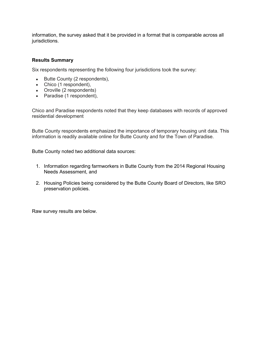If a jurisdiction provided information, the survey asked that it be provided in a format that is comparable across all jurisdictions.

#### **Results Summary**

Four respondents representing the following four jurisdictions submitted complete surveys:

- Butte County
- City of Chico
- City of Oroville
- Town of Paradise

Chico and Paradise respondents noted that they keep databases with records of approved residential development

Butte County respondents emphasized the importance of temporary housing unit data. This information is readily available online for Butte County and for the Town of Paradise.

Butte County noted two additional data sources:

- 1. Information regarding farmworkers in Butte County from the 2014 Regional Housing Needs Assessment, and
- 2. Housing Policies being considered by the Butte County Board of Directors, like SRO preservation policies.

Raw survey results are below.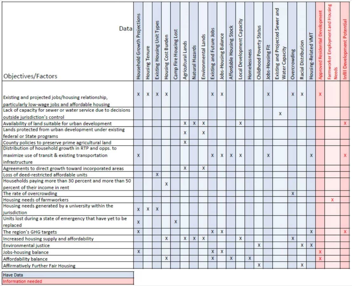| Data<br>Objectives/Factors                                                                             | Projections<br>Growth<br>Household | Housing Tenure | Types<br>Existing Housing Unit | Housing Cost Burden | Camp Fire Housing Lost | Agricultural Lands | Natural Hazards | Environmental Lands | Jobs<br>Existing and Future | Jobs-Housing Balance | Stock<br>Affordable Housing | Capacity<br>Local Development | Homelessness | Status<br>Childhood Poverty | Housing Fit<br>Jobs- | and<br>Sewer<br>Projected<br>Water Capacity<br>and<br>Existing | Overcrowding | Racial Distribution | Housing-Related VMT | Approved Residential D | Farmworker Employment and Housin<br><b>Needs</b> | Infill Development Potential |
|--------------------------------------------------------------------------------------------------------|------------------------------------|----------------|--------------------------------|---------------------|------------------------|--------------------|-----------------|---------------------|-----------------------------|----------------------|-----------------------------|-------------------------------|--------------|-----------------------------|----------------------|----------------------------------------------------------------|--------------|---------------------|---------------------|------------------------|--------------------------------------------------|------------------------------|
| Existing and projected jobs/housing relationship,<br>particularly low-wage jobs and affordable housing | X                                  | x              | X                              | X                   |                        |                    |                 |                     | X                           | X                    |                             |                               |              |                             | X                    |                                                                | X            | X                   |                     |                        |                                                  |                              |
| Lack of capacity for sewer or water service due to decisions                                           |                                    |                |                                |                     |                        |                    |                 |                     |                             |                      |                             |                               |              |                             |                      | X                                                              |              |                     |                     |                        |                                                  |                              |
| outside jurisdiction's control                                                                         |                                    |                |                                |                     |                        |                    |                 |                     |                             |                      |                             |                               |              |                             |                      |                                                                |              |                     |                     |                        |                                                  |                              |
| Availability of land suitable for urban development                                                    |                                    |                |                                |                     |                        | X                  | X               | x                   |                             |                      |                             | X                             |              |                             |                      |                                                                |              |                     |                     |                        |                                                  | X                            |
| Lands protected from urban development under existing                                                  |                                    |                |                                |                     |                        | X                  |                 | X                   |                             |                      |                             |                               |              |                             |                      |                                                                |              |                     |                     |                        |                                                  |                              |
| federal or State programs                                                                              |                                    |                |                                |                     |                        |                    |                 |                     |                             |                      |                             |                               |              |                             |                      |                                                                |              |                     |                     |                        |                                                  |                              |
| County policies to preserve prime agricultural land                                                    |                                    |                |                                |                     |                        | X                  |                 |                     |                             |                      |                             |                               |              |                             |                      |                                                                |              |                     |                     |                        |                                                  |                              |
| Distribution of household growth in RTP and opps. to                                                   |                                    |                |                                |                     |                        |                    |                 |                     |                             |                      |                             |                               |              |                             |                      |                                                                |              |                     |                     |                        |                                                  |                              |
| maximize use of transit & existing transportation<br>infrastructure                                    |                                    |                |                                |                     |                        |                    |                 |                     | X                           | X                    | $\mathbf{x}$                | X                             |              |                             | X                    |                                                                |              |                     | X                   |                        |                                                  |                              |
| Agreements to direct growth toward incorporated areas                                                  |                                    |                |                                |                     |                        | X                  |                 | x                   |                             |                      |                             |                               |              |                             |                      |                                                                |              |                     |                     |                        |                                                  |                              |
| Loss of deed-restricted affordable units                                                               |                                    |                | X                              |                     |                        |                    |                 |                     |                             |                      |                             |                               |              |                             |                      |                                                                |              |                     |                     |                        |                                                  |                              |
| Households paying more than 30 percent and more than 50                                                |                                    |                |                                |                     |                        |                    |                 |                     |                             |                      |                             |                               |              |                             |                      |                                                                |              |                     |                     |                        |                                                  |                              |
| percent of their income in rent                                                                        |                                    |                |                                |                     |                        |                    |                 |                     |                             |                      |                             |                               |              |                             |                      |                                                                |              |                     |                     |                        |                                                  |                              |
| The rate of overcrowding                                                                               |                                    |                |                                |                     |                        |                    |                 |                     |                             |                      |                             |                               |              |                             |                      |                                                                | X            |                     |                     |                        |                                                  |                              |
| Housing needs of farmworkers                                                                           |                                    |                |                                |                     |                        |                    |                 |                     |                             |                      |                             |                               |              |                             |                      |                                                                |              |                     |                     |                        |                                                  |                              |
| Housing needs generated by a university within the                                                     |                                    | X              | X                              |                     |                        |                    |                 |                     |                             |                      |                             |                               |              |                             |                      |                                                                |              |                     |                     |                        |                                                  |                              |
| jurisdiction                                                                                           |                                    |                |                                |                     |                        |                    |                 |                     |                             |                      |                             |                               |              |                             |                      |                                                                |              |                     |                     |                        |                                                  |                              |
| Units lost during a state of emergency that have yet to be                                             | X                                  |                |                                |                     | X                      |                    |                 |                     |                             |                      |                             |                               |              |                             |                      |                                                                |              |                     |                     |                        |                                                  |                              |
| replaced                                                                                               |                                    |                |                                |                     |                        |                    |                 |                     |                             |                      |                             |                               |              |                             |                      |                                                                |              |                     |                     |                        |                                                  |                              |
| The region's GHG targets                                                                               |                                    |                |                                |                     |                        |                    |                 |                     | X                           | X                    |                             |                               |              |                             |                      |                                                                |              |                     | X                   |                        |                                                  |                              |
| Increased housing supply and affordability                                                             |                                    |                |                                |                     |                        | x                  |                 | X                   |                             |                      |                             | X                             |              |                             |                      |                                                                | X            |                     |                     |                        |                                                  |                              |
| Environmental justice                                                                                  |                                    |                |                                |                     |                        |                    |                 |                     |                             |                      |                             |                               |              | X                           |                      |                                                                |              | X                   | X                   |                        |                                                  |                              |
| Jobs-housing balance                                                                                   | X                                  |                |                                |                     |                        |                    |                 |                     | X                           | X                    |                             |                               |              |                             |                      |                                                                |              |                     |                     |                        |                                                  |                              |
| Affordability balance                                                                                  |                                    |                |                                | X                   |                        |                    |                 |                     | x                           |                      | X                           |                               | X            |                             |                      |                                                                |              |                     |                     |                        |                                                  |                              |
| Affirmatively Further Fair Housing                                                                     |                                    |                |                                |                     |                        |                    |                 |                     |                             |                      |                             |                               |              | X                           |                      |                                                                |              | X                   |                     |                        |                                                  |                              |
| <b>Have Data</b>                                                                                       |                                    |                |                                |                     |                        |                    |                 |                     |                             |                      |                             |                               |              |                             |                      |                                                                |              |                     |                     |                        |                                                  |                              |
|                                                                                                        |                                    |                |                                |                     | 3                      |                    |                 |                     |                             |                      |                             |                               |              |                             |                      |                                                                |              |                     |                     |                        |                                                  |                              |

Information needed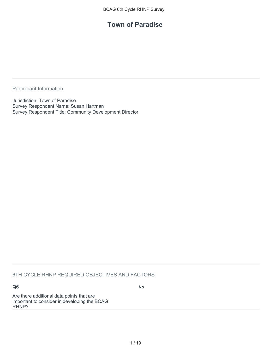### **Town of Paradise**

Participant Information

Jurisdiction: Town of Paradise Survey Respondent Name: Susan Hartman Survey Respondent Title: Community Development Director

#### 6TH CYCLE RHNP REQUIRED OBJECTIVES AND FACTORS

**Q6**

**No**

Are there additional data points that are important to consider in developing the BCAG RHNP?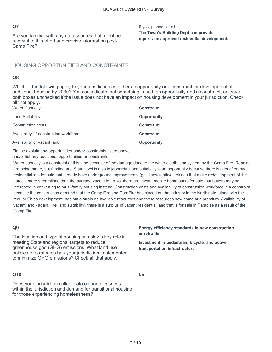Are you familiar with any data sources that might be relevant to this effort and provide information post-Camp Fire?

If yes, please list all. : **The Town's Building Dept can provide reports on approved residential development.**

#### HOUSING OPPORTUNITIES AND CONSTRAINTS

#### **Q8**

Which of the following apply to your jurisdiction as either an opportunity or a constraint for development of additional housing by 2030? You can indicate that something is both an opportunity and a constraint, or leave both boxes unchecked if the issue does not have an impact on housing development in your jurisdiction. Check all that apply.

| Water Capacity                         | <b>Constraint</b>  |
|----------------------------------------|--------------------|
| Land Suitability                       | <b>Opportunity</b> |
| Construction costs                     | <b>Constraint</b>  |
| Availability of construction workforce | <b>Constraint</b>  |
| Availability of vacant land            | <b>Opportunity</b> |

Please explain any opportunities and/or constraints listed above,

and/or list any additional opportunities or constraints.

Water capacity is a constraint at this time because of the damage done to the water distribution system by the Camp Fire. Repairs are being made, but funding at a State level is also in jeopardy. Land suitability is an opportunity because there is a lot of empty residential lots for sale that already have underground improvements (gas lines/septic/electrical) that make redevelopment of the parcels more streamlined than the average vacant lot. Also, there are vacant mobile home parks for sale that buyers may be interested in converting to multi-family housing instead. Construction costs and availability of construction workforce is a constraint because the construction demand that the Camp Fire and Carr Fire has placed on the industry in the Northstate, along with the regular Chico development, has put a strain on available resources and those resources now come at a premium. Availability of vacant land - again, like 'land suitability', there is a surplus of vacant residential land that is for sale in Paradise as a result of the Camp Fire.

#### **Q9**

The location and type of housing can play a key role in meeting State and regional targets to reduce greenhouse gas (GHG) emissions. What land use policies or strategies has your jurisdiction implemented to minimize GHG emissions? Check all that apply.

#### **Energy efficiency standards in new construction or retrofits**

**Investment in pedestrian, bicycle, and active transportation infrastructure**

#### **Q10**

**No**

Does your jurisdiction collect data on homelessness within the jurisdiction and demand for transitional housing for those experiencing homelessness?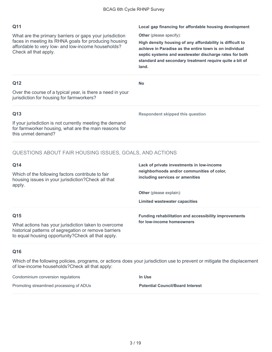What are the primary barriers or gaps your jurisdiction faces in meeting its RHNA goals for producing housing affordable to very low- and low-income households? Check all that apply.

**Local gap financing for affordable housing development** 

**Other** (please specify):

**High density housing of any affordability is difficult to achieve in Paradise as the entire town is on individual septic systems and wastewater discharge rates for both standard and secondary treatment require quite a bit of land.**

#### **Q12**

**No**

Over the course of a typical year, is there a need in your jurisdiction for housing for farmworkers?

#### **Q13**

If your jurisdiction is not currently meeting the demand for farmworker housing, what are the main reasons for this unmet demand?

**Respondent skipped this question**

**Lack of private investments in low-income neighborhoods and/or communities of color,** 

#### QUESTIONS ABOUT FAIR HOUSING ISSUES, GOALS, AND ACTIONS

#### **Q14**

Which of the following factors contribute to fair housing issues in your jurisdiction?Check all that apply.

**Other** (please explain):

**Limited wastewater capacities**

**including services or amenities**

**Funding rehabilitation and accessibility improvements for low-income homeowners**

#### **Q15**

What actions has your jurisdiction taken to overcome historical patterns of segregation or remove barriers to equal housing opportunity?Check all that apply.

#### **Q16**

Which of the following policies, programs, or actions does your jurisdiction use to prevent or mitigate the displacement of low-income households?Check all that apply:

Condominium conversion regulations Promoting streamlined processing of ADUs **In Use Potential Council/Board Interest**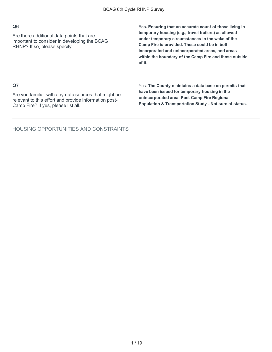Are there additional data points that are important to consider in developing the BCAG RHNP? If so, please specify.

**Yes. Ensuring that an accurate count of those living in temporary housing (e.g., travel trailers) as allowed under temporary circumstances in the wake of the Camp Fire is provided. These could be in both incorporated and unincorporated areas, and areas within the boundary of the Camp Fire and those outside of it.**

#### **Q7**

Are you familiar with any data sources that might be relevant to this effort and provide information post-Camp Fire? If yes, please list all.

Yes. **The County maintains a data base on permits that have been issued for temporary housing in the unincorporated area. Post Camp Fire Regional Population & Transportation Study - Not sure of status.**

HOUSING OPPORTUNITIES AND CONSTRAINTS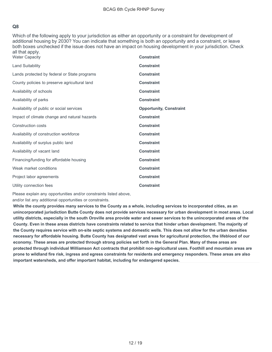Which of the following apply to your jurisdiction as either an opportunity or a constraint for development of additional housing by 2030? You can indicate that something is both an opportunity and a constraint, or leave both boxes unchecked if the issue does not have an impact on housing development in your jurisdiction. Check all that apply.

| <b>Water Capacity</b>                         | <b>Constraint</b>              |
|-----------------------------------------------|--------------------------------|
| <b>Land Suitability</b>                       | <b>Constraint</b>              |
| Lands protected by federal or State programs  | <b>Constraint</b>              |
| County policies to preserve agricultural land | <b>Constraint</b>              |
| Availability of schools                       | <b>Constraint</b>              |
| Availability of parks                         | <b>Constraint</b>              |
| Availability of public or social services     | <b>Opportunity, Constraint</b> |
| Impact of climate change and natural hazards  | <b>Constraint</b>              |
| Construction costs                            | <b>Constraint</b>              |
| Availability of construction workforce        | <b>Constraint</b>              |
| Availability of surplus public land           | <b>Constraint</b>              |
| Availability of vacant land                   | <b>Constraint</b>              |
| Financing/funding for affordable housing      | <b>Constraint</b>              |
| Weak market conditions                        | <b>Constraint</b>              |
| Project labor agreements                      | <b>Constraint</b>              |
| Utility connection fees                       | <b>Constraint</b>              |

Please explain any opportunities and/or constraints listed above,

and/or list any additional opportunities or constraints.

**While the county provides many services to the County as a whole, including services to incorporated cities, as an unincorporated jurisdiction Butte County does not provide services necessary for urban development in most areas. Local utility districts, especially in the south Oroville area provide water and sewer services to the unincorporated areas of the County. Even in these areas districts have constraints related to service that hinder urban development. The majority of the County requires service with on-site septic systems and domestic wells. This does not allow for the urban densities necessary for affordable housing. Butte County has designated vast areas for agricultural protection, the lifeblood of our economy. These areas are protected through strong policies set forth in the General Plan. Many of these areas are protected through individual Williamson Act contracts that prohibit non-agricultural uses. Foothill and mountain areas are prone to wildland fire risk, ingress and egress constraints for residents and emergency responders. These areas are also important watersheds, and offer important habitat, including for endangered species.**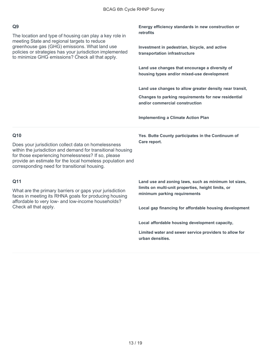The location and type of housing can play a key role in meeting State and regional targets to reduce greenhouse gas (GHG) emissions. What land use policies or strategies has your jurisdiction implemented to minimize GHG emissions? Check all that apply.

**Energy efficiency standards in new construction or retrofits**

**Investment in pedestrian, bicycle, and active transportation infrastructure**

**Land use changes that encourage a diversity of housing types and/or mixed-use development**

**Land use changes to allow greater density near transit,**

**Changes to parking requirements for new residential and/or commercial construction**

**Implementing a Climate Action Plan**

#### **Q10**

Does your jurisdiction collect data on homelessness within the jurisdiction and demand for transitional housing for those experiencing homelessness? If so, please provide an estimate for the local homeless population and corresponding need for transitional housing.

#### **Q11**

What are the primary barriers or gaps your jurisdiction faces in meeting its RHNA goals for producing housing affordable to very low- and low-income households? Check all that apply.

**Yes**. **Butte County participates in the Continuum of Care report.**

**Land use and zoning laws, such as minimum lot sizes, limits on multi-unit properties, height limits, or minimum parking requirements**

**Local gap financing for affordable housing development** 

**Local affordable housing development capacity,**

**Limited water and sewer service providers to allow for urban densities.**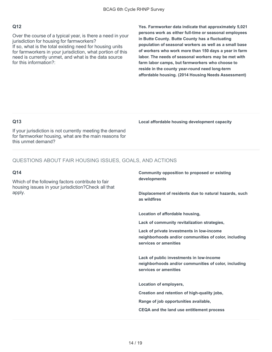Over the course of a typical year, is there a need in your jurisdiction for housing for farmworkers? If so, what is the total existing need for housing units for farmworkers in your jurisdiction, what portion of this need is currently unmet, and what is the data source for this information?:

**Yes. Farmworker data indicate that approximately 5,021 persons work as either full-time or seasonal employees in Butte County. Butte County has a fluctuating population of seasonal workers as well as a small base of workers who work more than 150 days a year in farm labor. The needs of seasonal workers may be met with farm labor camps, but farmworkers who choose to reside in the county year-round need long-term affordable housing. (2014 Housing Needs Assessment)**

#### **Q13**

If your jurisdiction is not currently meeting the demand for farmworker housing, what are the main reasons for this unmet demand?

#### QUESTIONS ABOUT FAIR HOUSING ISSUES, GOALS, AND ACTIONS

#### **Q14**

Which of the following factors contribute to fair housing issues in your jurisdiction?Check all that apply.

#### **Local affordable housing development capacity**

**Community opposition to proposed or existing developments**

**Displacement of residents due to natural hazards, such as wildfires**

**Location of affordable housing,**

**Lack of community revitalization strategies,**

**Lack of private investments in low-income neighborhoods and/or communities of color, including services or amenities**

**Lack of public investments in low-income neighborhoods and/or communities of color, including services or amenities**

**Location of employers,**

**Creation and retention of high-quality jobs,**

**Range of job opportunities available,**

**CEQA and the land use entitlement process**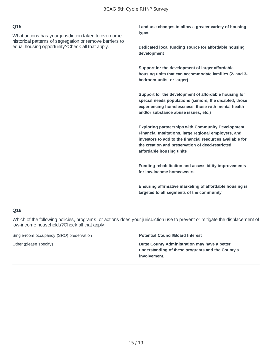What actions has your jurisdiction taken to overcome historical patterns of segregation or remove barriers to equal housing opportunity?Check all that apply.

**Land use changes to allow a greater variety of housing types**

**Dedicated local funding source for affordable housing development**

**Support for the development of larger affordable housing units that can accommodate families (2- and 3 bedroom units, or larger)**

**Support for the development of affordable housing for special needs populations (seniors, the disabled, those experiencing homelessness, those with mental health and/or substance abuse issues, etc.)**

**Exploring partnerships with Community Development Financial Institutions, large regional employers, and investors to add to the financial resources available for the creation and preservation of deed‐restricted affordable housing units**

**Funding rehabilitation and accessibility improvements for low-income homeowners**

**Ensuring affirmative marketing of affordable housing is targeted to all segments of the community**

#### **Q16**

Which of the following policies, programs, or actions does your jurisdiction use to prevent or mitigate the displacement of low-income households?Check all that apply:

Single-room occupancy (SRO) preservation **Potential Council/Board Interest**

Other (please specify) **Butte County Administration may have a better understanding of these programs and the County's involvement.**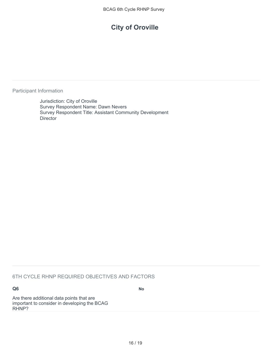## **City of Oroville**

Participant Information

Jurisdiction: City of Oroville Survey Respondent Name: Dawn Nevers Survey Respondent Title: Assistant Community Development **Director** 

#### 6TH CYCLE RHNP REQUIRED OBJECTIVES AND FACTORS

#### **Q6**

**No**

Are there additional data points that are important to consider in developing the BCAG RHNP?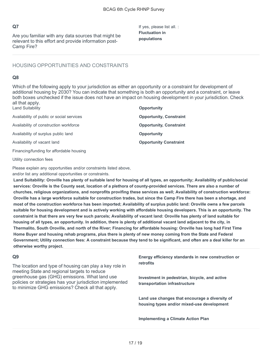Are you familiar with any data sources that might be relevant to this effort and provide information post-Camp Fire?

If yes, please list all. : **Fluctuation in populations**

#### HOUSING OPPORTUNITIES AND CONSTRAINTS

#### **Q8**

Which of the following apply to your jurisdiction as either an opportunity or a constraint for development of additional housing by 2030? You can indicate that something is both an opportunity and a constraint, or leave both boxes unchecked if the issue does not have an impact on housing development in your jurisdiction. Check all that apply.

| <b>Land Suitability</b>                   | <b>Opportunity</b>             |
|-------------------------------------------|--------------------------------|
| Availability of public or social services | <b>Opportunity, Constraint</b> |
| Availability of construction workforce    | <b>Opportunity, Constraint</b> |
| Availability of surplus public land       | <b>Opportunity</b>             |
| Availability of vacant land               | <b>Opportunity Constraint</b>  |
| Financing/funding for affordable housing  |                                |

Utility connection fees

Please explain any opportunities and/or constraints listed above,

and/or list any additional opportunities or constraints.

**Land Suitability: Oroville has plenty of suitable land for housing of all types, an opportunity; Availability of public/social services: Oroville is the County seat, location of a plethora of county-provided services. There are also a number of churches, religious organizations, and nonprofits provifing these services as well; Availability of construction workforce: Oroville has a large workforce suitable for construction trades, but since the Camp Fire there has been a shortage, and most of the construction workforce has been imported; Availability of surplus public land: Oroville owns a few parcels suitable for housing development and is actively working with affordable housing developers. This is an opportunity. The constraint is that there are very few such parcels; Availability of vacant land: Oroville has plenty of land suitable for housing of all types, an opportunity. In addition, there is plenty of additional vacant land adjacent to the city, in Thermalito, South Oroville, and north of the River; Financing for affordable housing: Oroville has long had First Time Home Buyer and housing rehab programs, plus there is plenty of new money coming from the State and Federal Government; Utility connection fees: A constraint because they tend to be significant, and often are a deal killer for an otherwise worthy project.**

#### **Q9**

The location and type of housing can play a key role in meeting State and regional targets to reduce greenhouse gas (GHG) emissions. What land use policies or strategies has your jurisdiction implemented to minimize GHG emissions? Check all that apply.

**Energy efficiency standards in new construction or retrofits**

**Investment in pedestrian, bicycle, and active transportation infrastructure**

**Land use changes that encourage a diversity of housing types and/or mixed-use development**

**Implementing a Climate Action Plan**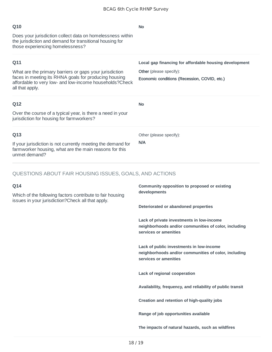| Q10                                                                                                                                                        | <b>No</b>                                              |  |  |  |  |  |  |
|------------------------------------------------------------------------------------------------------------------------------------------------------------|--------------------------------------------------------|--|--|--|--|--|--|
| Does your jurisdiction collect data on homelessness within<br>the jurisdiction and demand for transitional housing for<br>those experiencing homelessness? |                                                        |  |  |  |  |  |  |
| Q11                                                                                                                                                        | Local gap financing for affordable housing development |  |  |  |  |  |  |
| What are the primary barriers or gaps your jurisdiction                                                                                                    | Other (please specify):                                |  |  |  |  |  |  |
| faces in meeting its RHNA goals for producing housing<br>affordable to very low- and low-income households? Check<br>all that apply.                       | Economic conditions (Recession, COVID, etc.)           |  |  |  |  |  |  |
| Q12                                                                                                                                                        | <b>No</b>                                              |  |  |  |  |  |  |
| Over the course of a typical year, is there a need in your<br>jurisdiction for housing for farmworkers?                                                    |                                                        |  |  |  |  |  |  |
| Q13                                                                                                                                                        | Other (please specify):                                |  |  |  |  |  |  |
| If your jurisdiction is not currently meeting the demand for<br>farmworker housing, what are the main reasons for this<br>unmet demand?                    | N/A                                                    |  |  |  |  |  |  |

#### QUESTIONS ABOUT FAIR HOUSING ISSUES, GOALS, AND ACTIONS

#### **Q14**

Which of the following factors contribute to fair housing issues in your jurisdiction?Check all that apply.

**Community opposition to proposed or existing developments**

**Deteriorated or abandoned properties**

**Lack of private investments in low-income neighborhoods and/or communities of color, including services or amenities**

**Lack of public investments in low-income neighborhoods and/or communities of color, including services or amenities**

**Lack of regional cooperation**

**Availability, frequency, and reliability of public transit**

**Creation and retention of high-quality jobs**

**Range of job opportunities available**

**The impacts of natural hazards, such as wildfires**